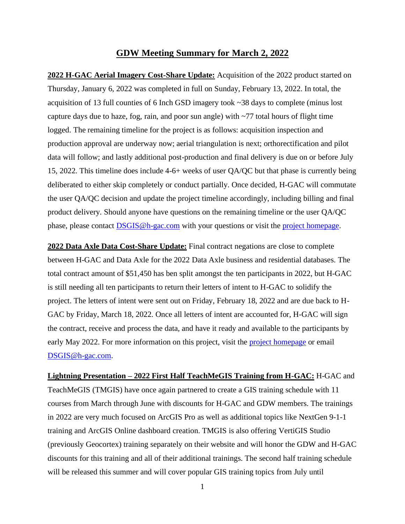## **GDW Meeting Summary for March 2, 2022**

**2022 H-GAC Aerial Imagery Cost-Share Update:** Acquisition of the 2022 product started on Thursday, January 6, 2022 was completed in full on Sunday, February 13, 2022. In total, the acquisition of 13 full counties of 6 Inch GSD imagery took ~38 days to complete (minus lost capture days due to haze, fog, rain, and poor sun angle) with ~77 total hours of flight time logged. The remaining timeline for the project is as follows: acquisition inspection and production approval are underway now; aerial triangulation is next; orthorectification and pilot data will follow; and lastly additional post-production and final delivery is due on or before July 15, 2022. This timeline does include 4-6+ weeks of user QA/QC but that phase is currently being deliberated to either skip completely or conduct partially. Once decided, H-GAC will commutate the user QA/QC decision and update the project timeline accordingly, including billing and final product delivery. Should anyone have questions on the remaining timeline or the user QA/QC phase, please contact **DSGIS@h-gac.com** with your questions or visit the **project** [homepage.](https://www.h-gac.com/aerial-imagery-cost-share/)

**2022 Data Axle Data Cost-Share Update:** Final contract negations are close to complete between H-GAC and Data Axle for the 2022 Data Axle business and residential databases. The total contract amount of \$51,450 has ben split amongst the ten participants in 2022, but H-GAC is still needing all ten participants to return their letters of intent to H-GAC to solidify the project. The letters of intent were sent out on Friday, February 18, 2022 and are due back to H-GAC by Friday, March 18, 2022. Once all letters of intent are accounted for, H-GAC will sign the contract, receive and process the data, and have it ready and available to the participants by early May 2022. For more information on this project, visit the [project homepage](mailto:project%20homepage) or email [DSGIS@h-gac.com.](mailto:DSGIS@h-gac.com)

**Lightning Presentation – 2022 First Half TeachMeGIS Training from H-GAC:** H-GAC and TeachMeGIS (TMGIS) have once again partnered to create a GIS training schedule with 11 courses from March through June with discounts for H-GAC and GDW members. The trainings in 2022 are very much focused on ArcGIS Pro as well as additional topics like NextGen 9-1-1 training and ArcGIS Online dashboard creation. TMGIS is also offering VertiGIS Studio (previously Geocortex) training separately on their website and will honor the GDW and H-GAC discounts for this training and all of their additional trainings. The second half training schedule will be released this summer and will cover popular GIS training topics from July until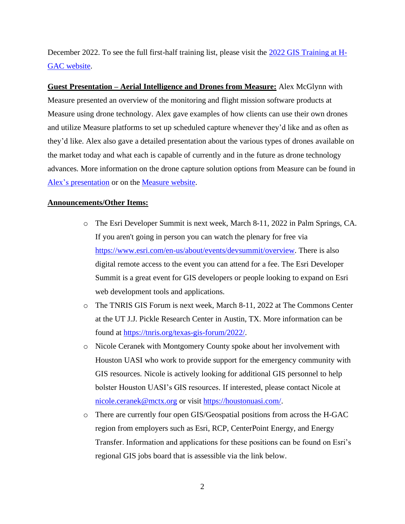December 2022. To see the full first-half training list, please visit the [2022 GIS Training at H-](https://www.h-gac.com/geographic-data-workgroup/gis-training-at-hgac)[GAC website.](https://www.h-gac.com/geographic-data-workgroup/gis-training-at-hgac)

**Guest Presentation – Aerial Intelligence and Drones from Measure:** Alex McGlynn with Measure presented an overview of the monitoring and flight mission software products at Measure using drone technology. Alex gave examples of how clients can use their own drones and utilize Measure platforms to set up scheduled capture whenever they'd like and as often as they'd like. Alex also gave a detailed presentation about the various types of drones available on the market today and what each is capable of currently and in the future as drone technology advances. More information on the drone capture solution options from Measure can be found in [Alex's presentation](https://www.h-gac.com/getmedia/620bc12c-0748-409b-8624-784883b925b7/Measure-GDW-Presentation) or on the [Measure](https://www.measure.com/) website.

## **Announcements/Other Items:**

- o The Esri Developer Summit is next week, March 8-11, 2022 in Palm Springs, CA. If you aren't going in person you can watch the plenary for free via [https://www.esri.com/en-us/about/events/devsummit/overview.](https://www.esri.com/en-us/about/events/devsummit/overview) There is also digital remote access to the event you can attend for a fee. The Esri Developer Summit is a great event for GIS developers or people looking to expand on Esri web development tools and applications.
- o The TNRIS GIS Forum is next week, March 8-11, 2022 at The Commons Center at the UT J.J. Pickle Research Center in Austin, TX. More information can be found at [https://tnris.org/texas-gis-forum/2022/.](https://tnris.org/texas-gis-forum/2022/)
- o Nicole Ceranek with Montgomery County spoke about her involvement with Houston UASI who work to provide support for the emergency community with GIS resources. Nicole is actively looking for additional GIS personnel to help bolster Houston UASI's GIS resources. If interested, please contact Nicole at [nicole.ceranek@mctx.org](mailto:nicole.ceranek@mctx.org) or visit [https://houstonuasi.com/.](https://houstonuasi.com/)
- o There are currently four open GIS/Geospatial positions from across the H-GAC region from employers such as Esri, RCP, CenterPoint Energy, and Energy Transfer. Information and applications for these positions can be found on Esri's regional GIS jobs board that is assessible via the link below.